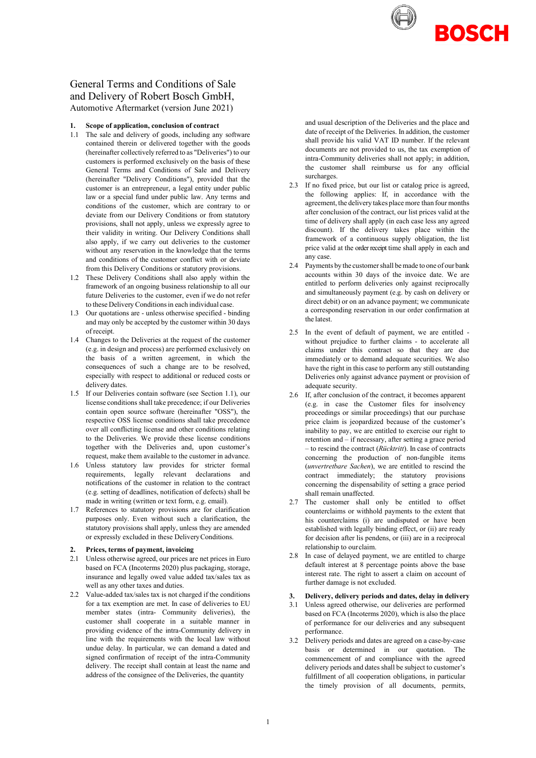

# General Terms and Conditions of Sale and Delivery of Robert Bosch GmbH, Automotive Aftermarket (version June 2021)

#### **1. Scope of application, conclusion of contract**

- 1.1 The sale and delivery of goods, including any software contained therein or delivered together with the goods (hereinafter collectively referred to as "Deliveries") to our customers is performed exclusively on the basis of these General Terms and Conditions of Sale and Delivery (hereinafter "Delivery Conditions"), provided that the customer is an entrepreneur, a legal entity under public law or a special fund under public law. Any terms and conditions of the customer, which are contrary to or deviate from our Delivery Conditions or from statutory provisions, shall not apply, unless we expressly agree to their validity in writing. Our Delivery Conditions shall also apply, if we carry out deliveries to the customer without any reservation in the knowledge that the terms and conditions of the customer conflict with or deviate from this Delivery Conditions or statutory provisions.
- 1.2 These Delivery Conditions shall also apply within the framework of an ongoing business relationship to all our future Deliveries to the customer, even if we do not refer to these Delivery Conditions in each individual case.
- 1.3 Our quotations are unless otherwise specified binding and may only be accepted by the customer within 30 days of receipt.
- 1.4 Changes to the Deliveries at the request of the customer (e.g. in design and process) are performed exclusively on the basis of a written agreement, in which the consequences of such a change are to be resolved, especially with respect to additional or reduced costs or delivery dates.
- 1.5 If our Deliveries contain software (see Section 1.1), our license conditions shall take precedence; if our Deliveries contain open source software (hereinafter "OSS"), the respective OSS license conditions shall take precedence over all conflicting license and other conditions relating to the Deliveries. We provide these license conditions together with the Deliveries and, upon customer's request, make them available to the customer in advance.
- 1.6 Unless statutory law provides for stricter formal requirements, legally relevant declarations and notifications of the customer in relation to the contract (e.g. setting of deadlines, notification of defects) shall be made in writing (written or text form, e.g. email).
- 1.7 References to statutory provisions are for clarification purposes only. Even without such a clarification, the statutory provisions shall apply, unless they are amended or expressly excluded in these DeliveryConditions.

#### **2. Prices, terms of payment, invoicing**

- 2.1 Unless otherwise agreed, our prices are net prices in Euro based on FCA (Incoterms 2020) plus packaging, storage, insurance and legally owed value added tax/sales tax as well as any other taxes and duties.
- 2.2 Value-added tax/sales tax is not charged if the conditions for a tax exemption are met. In case of deliveries to EU member states (intra- Community deliveries), the customer shall cooperate in a suitable manner in providing evidence of the intra-Community delivery in line with the requirements with the local law without undue delay. In particular, we can demand a dated and signed confirmation of receipt of the intra-Community delivery. The receipt shall contain at least the name and address of the consignee of the Deliveries, the quantity

and usual description of the Deliveries and the place and date of receipt of the Deliveries. In addition, the customer shall provide his valid VAT ID number. If the relevant documents are not provided to us, the tax exemption of intra-Community deliveries shall not apply; in addition, the customer shall reimburse us for any official surcharges.

- 2.3 If no fixed price, but our list or catalog price is agreed, the following applies: If, in accordance with the agreement, the delivery takes placemore than four months after conclusion of the contract, our list prices valid at the time of delivery shall apply (in each case less any agreed discount). If the delivery takes place within the framework of a continuous supply obligation, the list price valid at the order receipt time shall apply in each and any case.
- 2.4 Payments by the customershall bemade to one of our bank accounts within 30 days of the invoice date. We are entitled to perform deliveries only against reciprocally and simultaneously payment (e.g. by cash on delivery or direct debit) or on an advance payment; we communicate a corresponding reservation in our order confirmation at the latest.
- 2.5 In the event of default of payment, we are entitled without prejudice to further claims - to accelerate all claims under this contract so that they are due immediately or to demand adequate securities. We also have the right in this case to perform any still outstanding Deliveries only against advance payment or provision of adequate security.
- 2.6 If, after conclusion of the contract, it becomes apparent (e.g. in case the Customer files for insolvency proceedings or similar proceedings) that our purchase price claim is jeopardized because of the customer's inability to pay, we are entitled to exercise our right to retention and – if necessary, after setting a grace period – to rescind the contract (*Rücktritt*). In case of contracts concerning the production of non-fungible items (*unvertretbare Sachen*), we are entitled to rescind the contract immediately; the statutory provisions concerning the dispensability of setting a grace period shall remain unaffected.
- 2.7 The customer shall only be entitled to offset counterclaims or withhold payments to the extent that his counterclaims (i) are undisputed or have been established with legally binding effect, or (ii) are ready for decision after lis pendens, or (iii) are in a reciprocal relationship to ourclaim.
- 2.8 In case of delayed payment, we are entitled to charge default interest at 8 percentage points above the base interest rate. The right to assert a claim on account of further damage is not excluded.

## **3. Delivery, delivery periods and dates, delay in delivery**

- 3.1 Unless agreed otherwise, our deliveries are performed based on FCA (Incoterms 2020), which is also the place of performance for our deliveries and any subsequent performance.
- 3.2 Delivery periods and dates are agreed on a case-by-case basis or determined in our quotation. The commencement of and compliance with the agreed delivery periods and dates shall be subject to customer's fulfillment of all cooperation obligations, in particular the timely provision of all documents, permits,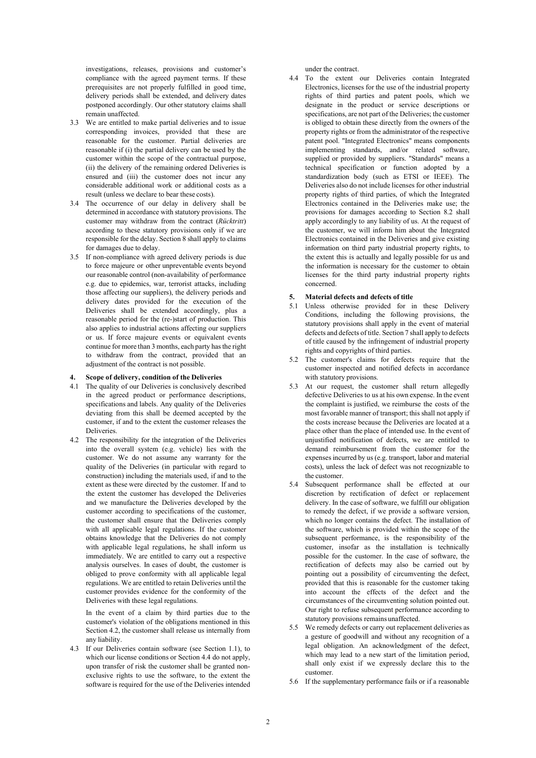investigations, releases, provisions and customer's compliance with the agreed payment terms. If these prerequisites are not properly fulfilled in good time, delivery periods shall be extended, and delivery dates postponed accordingly. Our other statutory claims shall remain unaffected.

- 3.3 We are entitled to make partial deliveries and to issue corresponding invoices, provided that these are reasonable for the customer. Partial deliveries are reasonable if (i) the partial delivery can be used by the customer within the scope of the contractual purpose, (ii) the delivery of the remaining ordered Deliveries is ensured and (iii) the customer does not incur any considerable additional work or additional costs as a result (unless we declare to bear these costs).
- 3.4 The occurrence of our delay in delivery shall be determined in accordance with statutory provisions. The customer may withdraw from the contract (*Rücktritt*) according to these statutory provisions only if we are responsible for the delay. Section 8 shall apply to claims for damages due to delay.
- 3.5 If non-compliance with agreed delivery periods is due to force majeure or other unpreventable events beyond our reasonable control (non-availability of performance e.g. due to epidemics, war, terrorist attacks, including those affecting our suppliers), the delivery periods and delivery dates provided for the execution of the Deliveries shall be extended accordingly, plus a reasonable period for the (re-)start of production. This also applies to industrial actions affecting our suppliers or us. If force majeure events or equivalent events continue for more than 3 months, each party has the right to withdraw from the contract, provided that an adjustment of the contract is not possible.

#### **4. Scope of delivery, condition of the Deliveries**

- 4.1 The quality of our Deliveries is conclusively described in the agreed product or performance descriptions, specifications and labels. Any quality of the Deliveries deviating from this shall be deemed accepted by the customer, if and to the extent the customer releases the Deliveries.
- 4.2 The responsibility for the integration of the Deliveries into the overall system (e.g. vehicle) lies with the customer. We do not assume any warranty for the quality of the Deliveries (in particular with regard to construction) including the materials used, if and to the extent asthese were directed by the customer. If and to the extent the customer has developed the Deliveries and we manufacture the Deliveries developed by the customer according to specifications of the customer, the customer shall ensure that the Deliveries comply with all applicable legal regulations. If the customer obtains knowledge that the Deliveries do not comply with applicable legal regulations, he shall inform us immediately. We are entitled to carry out a respective analysis ourselves. In cases of doubt, the customer is obliged to prove conformity with all applicable legal regulations. We are entitled to retain Deliveries until the customer provides evidence for the conformity of the Deliveries with these legal regulations.

In the event of a claim by third parties due to the customer's violation of the obligations mentioned in this Section 4.2, the customer shall release us internally from any liability.

4.3 If our Deliveries contain software (see Section 1.1), to which our license conditions or Section 4.4 do not apply, upon transfer of risk the customer shall be granted nonexclusive rights to use the software, to the extent the software is required for the use of the Deliveries intended

under the contract.

4.4 To the extent our Deliveries contain Integrated Electronics, licenses for the use of the industrial property rights of third parties and patent pools, which we designate in the product or service descriptions or specifications, are not part of the Deliveries; the customer is obliged to obtain these directly from the owners of the property rights or from the administrator of the respective patent pool. "Integrated Electronics" means components implementing standards, and/or related software, supplied or provided by suppliers. "Standards" means a technical specification or function adopted by a standardization body (such as ETSI or IEEE). The Deliveries also do not include licenses for other industrial property rights of third parties, of which the Integrated Electronics contained in the Deliveries make use; the provisions for damages according to Section 8.2 shall apply accordingly to any liability of us. At the request of the customer, we will inform him about the Integrated Electronics contained in the Deliveries and give existing information on third party industrial property rights, to the extent this is actually and legally possible for us and the information is necessary for the customer to obtain licenses for the third party industrial property rights concerned.

#### **5. Material defects and defects of title**

- 5.1 Unless otherwise provided for in these Delivery Conditions, including the following provisions, the statutory provisions shall apply in the event of material defects and defects of title. Section 7 shall apply to defects of title caused by the infringement of industrial property rights and copyrights of third parties.
- 5.2 The customer's claims for defects require that the customer inspected and notified defects in accordance with statutory provisions.
- 5.3 At our request, the customer shall return allegedly defective Deliveries to us at his own expense. In the event the complaint is justified, we reimburse the costs of the most favorable manner of transport; this shall not apply if the costs increase because the Deliveries are located at a place other than the place of intended use. In the event of unjustified notification of defects, we are entitled to demand reimbursement from the customer for the expenses incurred by us (e.g. transport, labor and material costs), unless the lack of defect was not recognizable to the customer.
- 5.4 Subsequent performance shall be effected at our discretion by rectification of defect or replacement delivery. In the case of software, we fulfill our obligation to remedy the defect, if we provide a software version, which no longer contains the defect. The installation of the software, which is provided within the scope of the subsequent performance, is the responsibility of the customer, insofar as the installation is technically possible for the customer. In the case of software, the rectification of defects may also be carried out by pointing out a possibility of circumventing the defect, provided that this is reasonable for the customer taking into account the effects of the defect and the circumstances of the circumventing solution pointed out. Our right to refuse subsequent performance according to statutory provisions remains unaffected.
- 5.5 We remedy defects or carry out replacement deliveries as a gesture of goodwill and without any recognition of a legal obligation. An acknowledgment of the defect, which may lead to a new start of the limitation period, shall only exist if we expressly declare this to the customer.
- 5.6 If the supplementary performance fails or if a reasonable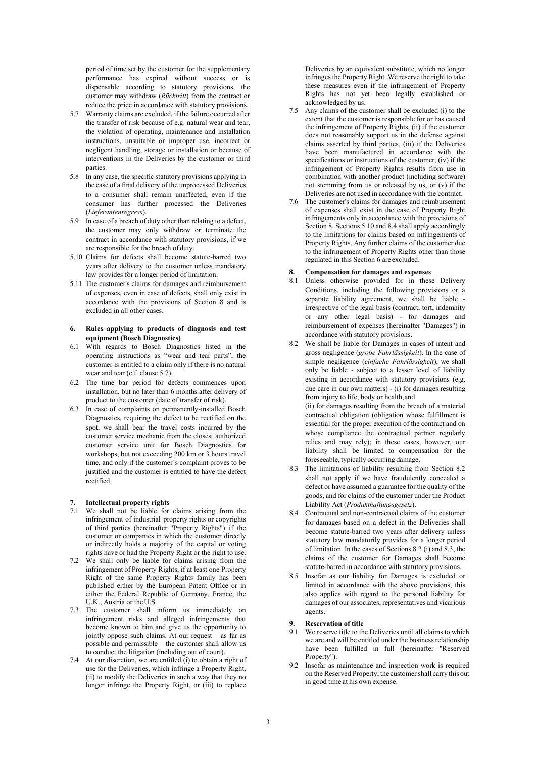period of time set by the customer for the supplementary performance has expired without success or is dispensable according to statutory provisions, the customer may withdraw (*Rücktritt*) from the contract or reduce the price in accordance with statutory provisions.

- 5.7 Warranty claims are excluded, if the failure occurred after the transfer of risk because of e.g. natural wear and tear, the violation of operating, maintenance and installation instructions, unsuitable or improper use, incorrect or negligent handling, storage or installation or because of interventions in the Deliveries by the customer or third parties.
- 5.8 In any case, the specific statutory provisions applying in the case of a final delivery of the unprocessed Deliveries to a consumer shall remain unaffected, even if the consumer has further processed the Deliveries (*Lieferantenregress*).
- 5.9 In case of a breach of duty other than relating to a defect, the customer may only withdraw or terminate the contract in accordance with statutory provisions, if we are responsible for the breach of duty.
- 5.10 Claims for defects shall become statute-barred two years after delivery to the customer unless mandatory law provides for a longer period of limitation.
- 5.11 The customer's claims for damages and reimbursement of expenses, even in case of defects, shall only exist in accordance with the provisions of Section 8 and is excluded in all other cases.

#### **6. Rules applying to products of diagnosis and test equipment (Bosch Diagnostics)**

- 6.1 With regards to Bosch Diagnostics listed in the operating instructions as "wear and tear parts", the customer is entitled to a claim only if there is no natural wear and tear (c.f. clause 5.7).
- 6.2 The time bar period for defects commences upon installation, but no later than 6 months after delivery of product to the customer (date of transfer of risk).
- 6.3 In case of complaints on permanently-installed Bosch Diagnostics, requiring the defect to be rectified on the spot, we shall bear the travel costs incurred by the customer service mechanic from the closest authorized customer service unit for Bosch Diagnostics for workshops, but not exceeding 200 km or 3 hours travel time, and only if the customer´s complaint proves to be justified and the customer is entitled to have the defect rectified.

### **7. Intellectual property rights**

- 7.1 We shall not be liable for claims arising from the infringement of industrial property rights or copyrights of third parties (hereinafter "Property Rights") if the customer or companies in which the customer directly or indirectly holds a majority of the capital or voting rights have or had the Property Right or the right to use.
- 7.2 We shall only be liable for claims arising from the infringement of Property Rights, if at least one Property Right of the same Property Rights family has been published either by the European Patent Office or in either the Federal Republic of Germany, France, the U.K., Austria or theU.S.
- 7.3 The customer shall inform us immediately on infringement risks and alleged infringements that become known to him and give us the opportunity to jointly oppose such claims. At our request – as far as possible and permissible – the customer shall allow us to conduct the litigation (including out of court).
- 7.4 At our discretion, we are entitled (i) to obtain a right of use for the Deliveries, which infringe a Property Right, (ii) to modify the Deliveries in such a way that they no longer infringe the Property Right, or (iii) to replace

Deliveries by an equivalent substitute, which no longer infringes the Property Right. We reserve the right to take these measures even if the infringement of Property Rights has not yet been legally established or acknowledged by us.

- 7.5 Any claims of the customer shall be excluded (i) to the extent that the customer is responsible for or has caused the infringement of Property Rights, (ii) if the customer does not reasonably support us in the defense against claims asserted by third parties, (iii) if the Deliveries have been manufactured in accordance with the specifications or instructions of the customer, (iv) if the infringement of Property Rights results from use in combination with another product (including software) not stemming from us or released by us, or (v) if the Deliveries are not used in accordance with the contract.
- 7.6 The customer's claims for damages and reimbursement of expenses shall exist in the case of Property Right infringements only in accordance with the provisions of Section 8. Sections 5.10 and 8.4 shall apply accordingly to the limitations for claims based on infringements of Property Rights. Any further claims of the customer due to the infringement of Property Rights other than those regulated in this Section 6 are excluded.

# **8. Compensation for damages and expenses**

- 8.1 Unless otherwise provided for in these Delivery Conditions, including the following provisions or a separate liability agreement, we shall be liable irrespective of the legal basis (contract, tort, indemnity or any other legal basis) - for damages and reimbursement of expenses (hereinafter "Damages") in accordance with statutory provisions.
- 8.2 We shall be liable for Damages in cases of intent and gross negligence (*grobe Fahrlässigkeit*). In the case of simple negligence (*einfache Fahrlässigkeit*), we shall only be liable - subject to a lesser level of liability existing in accordance with statutory provisions (e.g. due care in our own matters) - (i) for damages resulting from injury to life, body or health,and (ii) for damages resulting from the breach of a material contractual obligation (obligation whose fulfillment is

essential for the proper execution of the contract and on whose compliance the contractual partner regularly relies and may rely); in these cases, however, our liability shall be limited to compensation for the foreseeable, typically occurring damage.

- 8.3 The limitations of liability resulting from Section 8.2 shall not apply if we have fraudulently concealed a defect or have assumed a guarantee for the quality of the goods, and for claims of the customer under the Product Liability Act (*Produkthaftungsgesetz*).
- 8.4 Contractual and non-contractual claims of the customer for damages based on a defect in the Deliveries shall become statute-barred two years after delivery unless statutory law mandatorily provides for a longer period of limitation. In the cases of Sections 8.2 (i) and 8.3, the claims of the customer for Damages shall become statute-barred in accordance with statutory provisions.
- 8.5 Insofar as our liability for Damages is excluded or limited in accordance with the above provisions, this also applies with regard to the personal liability for damages of our associates, representatives and vicarious agents.

# **9. Reservation of title**

- We reserve title to the Deliveries until all claims to which we are and will be entitled under the business relationship have been fulfilled in full (hereinafter "Reserved Property").
- 9.2 Insofar as maintenance and inspection work is required on the Reserved Property, the customershall carry this out in good time at his own expense.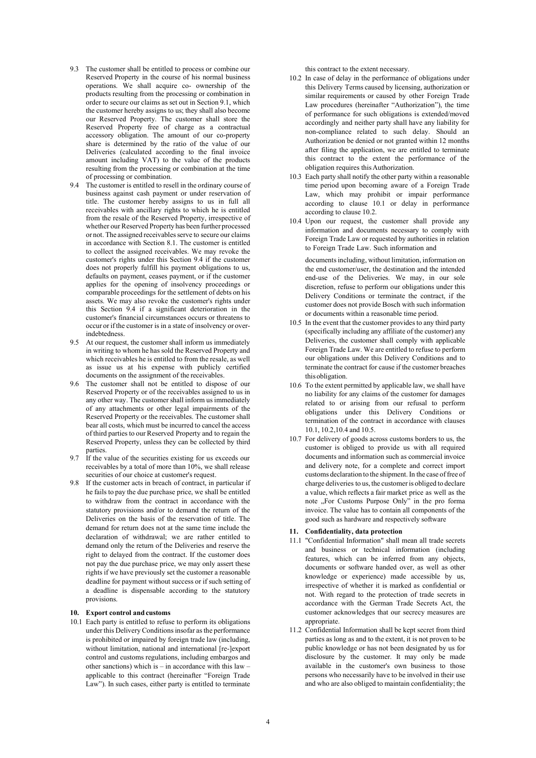- 9.3 The customer shall be entitled to process or combine our Reserved Property in the course of his normal business operations. We shall acquire co- ownership of the products resulting from the processing or combination in order to secure our claims as set out in Section 9.1, which the customer hereby assigns to us; they shall also become our Reserved Property. The customer shall store the Reserved Property free of charge as a contractual accessory obligation. The amount of our co-property share is determined by the ratio of the value of our Deliveries (calculated according to the final invoice amount including VAT) to the value of the products resulting from the processing or combination at the time of processing or combination.
- 9.4 The customer is entitled to resell in the ordinary course of business against cash payment or under reservation of title. The customer hereby assigns to us in full all receivables with ancillary rights to which he is entitled from the resale of the Reserved Property, irrespective of whether our Reserved Property has been further processed or not. The assigned receivables serve to secure our claims in accordance with Section 8.1. The customer is entitled to collect the assigned receivables. We may revoke the customer's rights under this Section 9.4 if the customer does not properly fulfill his payment obligations to us, defaults on payment, ceases payment, or if the customer applies for the opening of insolvency proceedings or comparable proceedings for the settlement of debts on his assets. We may also revoke the customer's rights under this Section 9.4 if a significant deterioration in the customer's financial circumstances occurs or threatens to occur or ifthe customer is in a state of insolvency or overindebtedness.
- 9.5 At our request, the customer shall inform us immediately in writing to whom he has sold the Reserved Property and which receivables he is entitled to from the resale, as well as issue us at his expense with publicly certified documents on the assignment of the receivables.
- 9.6 The customer shall not be entitled to dispose of our Reserved Property or of the receivables assigned to us in any other way. The customer shall inform us immediately of any attachments or other legal impairments of the Reserved Property or the receivables. The customer shall bear all costs, which must be incurred to cancel the access of third parties to our Reserved Property and to regain the Reserved Property, unless they can be collected by third parties.
- 9.7 If the value of the securities existing for us exceeds our receivables by a total of more than 10%, we shall release securities of our choice at customer's request.
- 9.8 If the customer acts in breach of contract, in particular if he fails to pay the due purchase price, we shall be entitled to withdraw from the contract in accordance with the statutory provisions and/or to demand the return of the Deliveries on the basis of the reservation of title. The demand for return does not at the same time include the declaration of withdrawal; we are rather entitled to demand only the return of the Deliveries and reserve the right to delayed from the contract. If the customer does not pay the due purchase price, we may only assert these rights if we have previously set the customer a reasonable deadline for payment without success or if such setting of a deadline is dispensable according to the statutory provisions.

#### **10. Export control and customs**

10.1 Each party is entitled to refuse to perform its obligations under this Delivery Conditions insofar as the performance is prohibited or impaired by foreign trade law (including, without limitation, national and international [re-]export control and customs regulations, including embargos and other sanctions) which is – in accordance with this law – applicable to this contract (hereinafter "Foreign Trade Law"). In such cases, either party is entitled to terminate

this contract to the extent necessary.

- 10.2 In case of delay in the performance of obligations under this Delivery Terms caused by licensing, authorization or similar requirements or caused by other Foreign Trade Law procedures (hereinafter "Authorization"), the time of performance for such obligations is extended/moved accordingly and neither party shall have any liability for non-compliance related to such delay. Should an Authorization be denied or not granted within 12 months after filing the application, we are entitled to terminate this contract to the extent the performance of the obligation requires thisAuthorization.
- 10.3 Each party shall notify the other party within a reasonable time period upon becoming aware of a Foreign Trade Law, which may prohibit or impair performance according to clause 10.1 or delay in performance according to clause 10.2.
- 10.4 Upon our request, the customer shall provide any information and documents necessary to comply with Foreign Trade Law or requested by authorities in relation to Foreign Trade Law. Such information and

documents including, without limitation, information on the end customer/user, the destination and the intended end-use of the Deliveries. We may, in our sole discretion, refuse to perform our obligations under this Delivery Conditions or terminate the contract, if the customer does not provide Bosch with such information or documents within a reasonable time period.

- 10.5 In the event that the customer provides to any third party (specifically including any affiliate of the customer) any Deliveries, the customer shall comply with applicable Foreign Trade Law. We are entitled to refuse to perform our obligations under this Delivery Conditions and to terminate the contract for cause if the customer breaches thisobligation.
- 10.6 To the extent permitted by applicable law, we shall have no liability for any claims of the customer for damages related to or arising from our refusal to perform obligations under this Delivery Conditions or termination of the contract in accordance with clauses 10.1, 10.2,10.4 and 10.5.
- 10.7 For delivery of goods across customs borders to us, the customer is obliged to provide us with all required documents and information such as commercial invoice and delivery note, for a complete and correct import customs declaration to the shipment. In the case of free of charge deliveries to us, the customeris obliged to declare a value, which reflects a fair market price as well as the note "For Customs Purpose Only" in the pro forma invoice. The value has to contain all components of the good such as hardware and respectively software

### **11. Confidentiality, data protection**

- 11.1 "Confidential Information" shall mean all trade secrets and business or technical information (including features, which can be inferred from any objects, documents or software handed over, as well as other knowledge or experience) made accessible by us, irrespective of whether it is marked as confidential or not. With regard to the protection of trade secrets in accordance with the German Trade Secrets Act, the customer acknowledges that our secrecy measures are appropriate.
- 11.2 Confidential Information shall be kept secret from third parties as long as and to the extent, it is not proven to be public knowledge or has not been designated by us for disclosure by the customer. It may only be made available in the customer's own business to those persons who necessarily have to be involved in their use and who are also obliged to maintain confidentiality; the